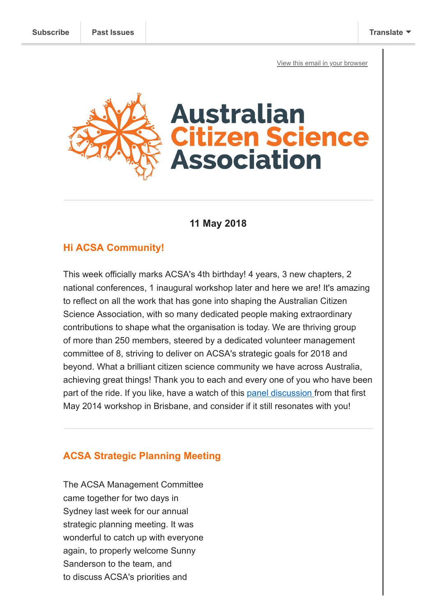[View this email in your browser](https://mailchi.mp/84b37de3d841/acsas-birthday-competition-winners-and-wa-meet-greet?e=[UNIQID])



**11 May 2018**

### **Hi ACSA Community!**

This week officially marks ACSA's 4th birthday! 4 years, 3 new chapters, 2 national conferences, 1 inaugural workshop later and here we are! It's amazing to reflect on all the work that has gone into shaping the Australian Citizen Science Association, with so many dedicated people making extraordinary contributions to shape what the organisation is today. We are thriving group of more than 250 members, steered by a dedicated volunteer management committee of 8, striving to deliver on ACSA's strategic goals for 2018 and beyond. What a brilliant citizen science community we have across Australia, achieving great things! Thank you to each and every one of you who have been part of the ride. If you like, have a watch of this [panel discussion f](https://vimeo.com/96043729)rom that first May 2014 workshop in Brisbane, and consider if it still resonates with you!

# **ACSA Strategic Planning Meeting**

The ACSA Management Committee came together for two days in Sydney last week for our annual strategic planning meeting. It was wonderful to catch up with everyone again, to properly welcome Sunny Sanderson to the team, and to discuss ACSA's priorities and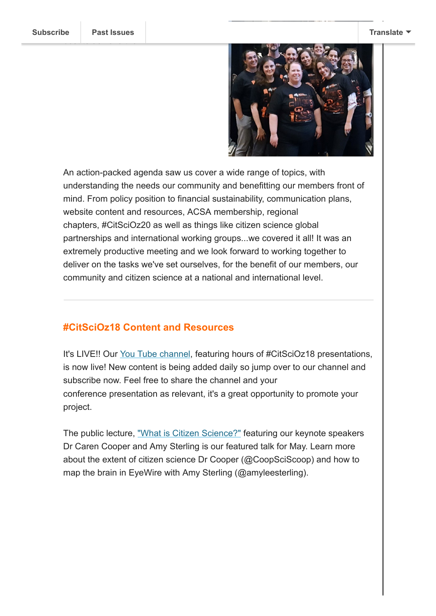

An action-packed agenda saw us cover a wide range of topics, with understanding the needs our community and benefitting our members front of mind. From policy position to financial sustainability, communication plans, website content and resources, ACSA membership, regional chapters, #CitSciOz20 as well as things like citizen science global partnerships and international working groups...we covered it all! It was an extremely productive meeting and we look forward to working together to deliver on the tasks we've set ourselves, for the benefit of our members, our community and citizen science at a national and international level.

#### **#CitSciOz18 Content and Resources**

It's LIVE!! Our [You Tube channel,](https://www.youtube.com/channel/UCEtzSdrExLMkQiF6bDfQ6GQ) featuring hours of #CitSciOz18 presentations, is now live! New content is being added daily so jump over to our channel and subscribe now. Feel free to share the channel and your conference presentation as relevant, it's a great opportunity to promote your project.

The public lecture, ["What is Citizen Science?"](https://youtu.be/x0Ut7UEkfWk) featuring our keynote speakers Dr Caren Cooper and Amy Sterling is our featured talk for May. Learn more about the extent of citizen science Dr Cooper (@CoopSciScoop) and how to map the brain in EyeWire with Amy Sterling (@amyleesterling).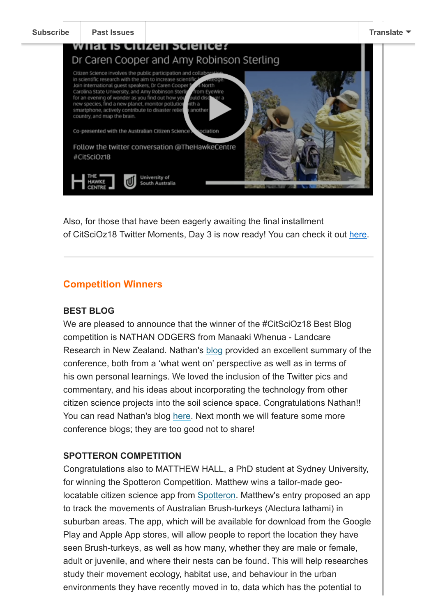

Also, for those that have been eagerly awaiting the final installment of CitSciOz18 Twitter Moments, Day 3 is now ready! You can check it out [here.](https://twitter.com/i/moments/982875533061996544)

## **Competition Winners**

#### **BEST BLOG**

We are pleased to announce that the winner of the #CitSciOz18 Best Blog competition is NATHAN ODGERS from Manaaki Whenua - Landcare Research in New Zealand. Nathan's [blog](https://npo.bitbucket.io/post/australian-citizen-science-conference/) provided an excellent summary of the conference, both from a 'what went on' perspective as well as in terms of his own personal learnings. We loved the inclusion of the Twitter pics and commentary, and his ideas about incorporating the technology from other citizen science projects into the soil science space. Congratulations Nathan!! You can read Nathan's blog [here](https://npo.bitbucket.io/post/australian-citizen-science-conference/). Next month we will feature some more conference blogs; they are too good not to share!

## **SPOTTERON COMPETITION**

Congratulations also to MATTHEW HALL, a PhD student at Sydney University, for winning the Spotteron Competition. Matthew wins a tailor-made geolocatable citizen science app from [Spotteron.](https://www.spotteron.net/) Matthew's entry proposed an app to track the movements of Australian Brush-turkeys (Alectura lathami) in suburban areas. The app, which will be available for download from the Google Play and Apple App stores, will allow people to report the location they have seen Brush-turkeys, as well as how many, whether they are male or female, adult or juvenile, and where their nests can be found. This will help researches study their movement ecology, habitat use, and behaviour in the urban environments they have recently moved in to, data which has the potential to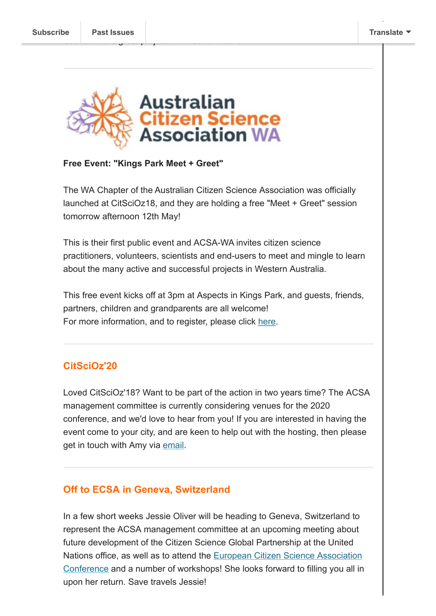

#### **Free Event: "Kings Park Meet + Greet"**

The WA Chapter of the Australian Citizen Science Association was officially launched at CitSciOz18, and they are holding a free "Meet + Greet" session tomorrow afternoon 12th May!

This is their first public event and ACSA-WA invites citizen science practitioners, volunteers, scientists and end-users to meet and mingle to learn about the many active and successful projects in Western Australia.

This free event kicks off at 3pm at Aspects in Kings Park, and guests, friends, partners, children and grandparents are all welcome! For more information, and to register, please click [here](https://www.eventbrite.com.au/e/acsa-wa-kings-park-meet-and-greet-tickets-45809850496).

# **CitSciOz'20**

Loved CitSciOz'18? Want to be part of the action in two years time? The ACSA management committee is currently considering venues for the 2020 conference, and we'd love to hear from you! If you are interested in having the event come to your city, and are keen to help out with the hosting, then please get in touch with Amy via [email](mailto:amy.slocombe@austmus.gov.au?subject=Interested%20in%20hosting%20CitSciOz%2720).

## **Off to ECSA in Geneva, Switzerland**

In a few short weeks Jessie Oliver will be heading to Geneva, Switzerland to represent the ACSA management committee at an upcoming meeting about future development of the Citizen Science Global Partnership at the United Nations office, as well as to attend the European Citizen Science Association [Conference and a number of workshops! She looks forward to filling you all in](https://www.ecsa-conference.eu/) upon her return. Save travels Jessie!